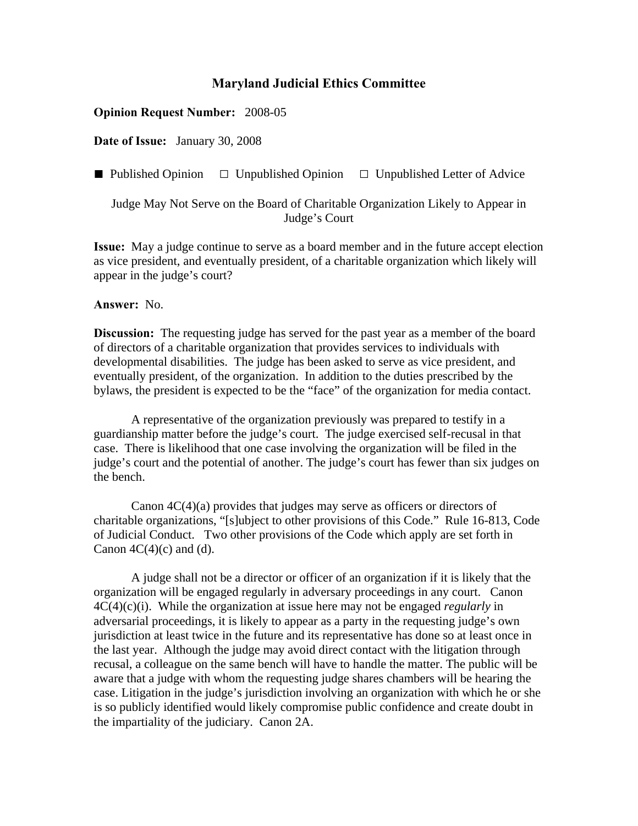## **Maryland Judicial Ethics Committee**

## **Opinion Request Number:** 2008-05

**Date of Issue:** January 30, 2008

**■** Published Opinion **□** Unpublished Opinion **□** Unpublished Letter of Advice

Judge May Not Serve on the Board of Charitable Organization Likely to Appear in Judge's Court

**Issue:** May a judge continue to serve as a board member and in the future accept election as vice president, and eventually president, of a charitable organization which likely will appear in the judge's court?

## **Answer:** No.

**Discussion:** The requesting judge has served for the past year as a member of the board of directors of a charitable organization that provides services to individuals with developmental disabilities. The judge has been asked to serve as vice president, and eventually president, of the organization. In addition to the duties prescribed by the bylaws, the president is expected to be the "face" of the organization for media contact.

A representative of the organization previously was prepared to testify in a guardianship matter before the judge's court. The judge exercised self-recusal in that case. There is likelihood that one case involving the organization will be filed in the judge's court and the potential of another. The judge's court has fewer than six judges on the bench.

 Canon 4C(4)(a) provides that judges may serve as officers or directors of charitable organizations, "[s]ubject to other provisions of this Code." Rule 16-813, Code of Judicial Conduct. Two other provisions of the Code which apply are set forth in Canon  $4C(4)(c)$  and (d).

A judge shall not be a director or officer of an organization if it is likely that the organization will be engaged regularly in adversary proceedings in any court. Canon 4C(4)(c)(i). While the organization at issue here may not be engaged *regularly* in adversarial proceedings, it is likely to appear as a party in the requesting judge's own jurisdiction at least twice in the future and its representative has done so at least once in the last year. Although the judge may avoid direct contact with the litigation through recusal, a colleague on the same bench will have to handle the matter. The public will be aware that a judge with whom the requesting judge shares chambers will be hearing the case. Litigation in the judge's jurisdiction involving an organization with which he or she is so publicly identified would likely compromise public confidence and create doubt in the impartiality of the judiciary. Canon 2A.